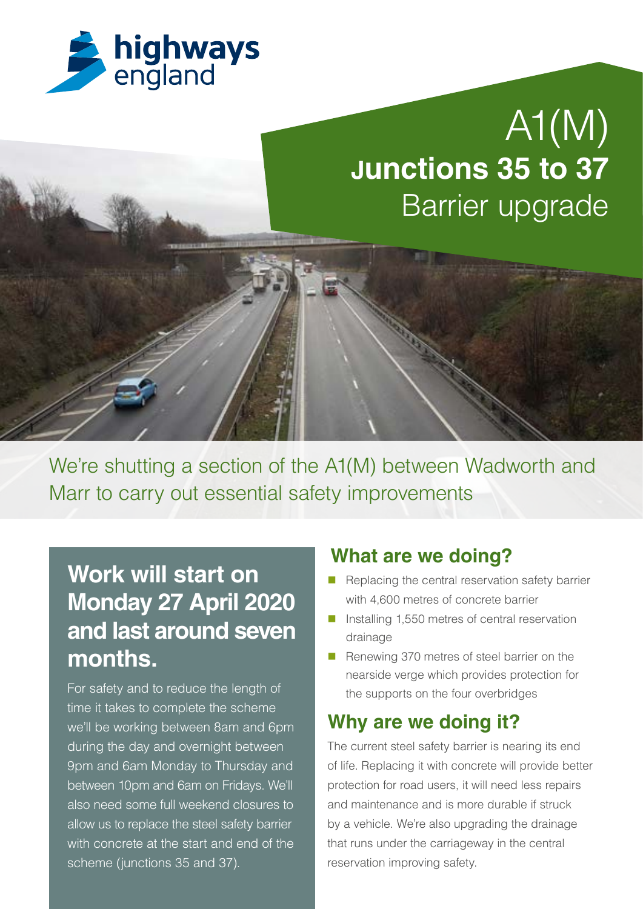

# $\overline{A1(N)}$ **Junctions 35 to 37** Barrier upgrade

We're shutting a section of the A1(M) between Wadworth and Marr to carry out essential safety improvements

## **Work will start on Monday 27 April 2020 and last around seven months.**

For safety and to reduce the length of time it takes to complete the scheme we'll be working between 8am and 6pm during the day and overnight between 9pm and 6am Monday to Thursday and between 10pm and 6am on Fridays. We'll also need some full weekend closures to allow us to replace the steel safety barrier with concrete at the start and end of the scheme (junctions 35 and 37).

### **What are we doing?**

- $\blacksquare$  Replacing the central reservation safety barrier with 4,600 metres of concrete barrier
- Installing 1,550 metres of central reservation drainage
- Renewing 370 metres of steel barrier on the nearside verge which provides protection for the supports on the four overbridges

## **Why are we doing it?**

The current steel safety barrier is nearing its end of life. Replacing it with concrete will provide better protection for road users, it will need less repairs and maintenance and is more durable if struck by a vehicle. We're also upgrading the drainage that runs under the carriageway in the central reservation improving safety.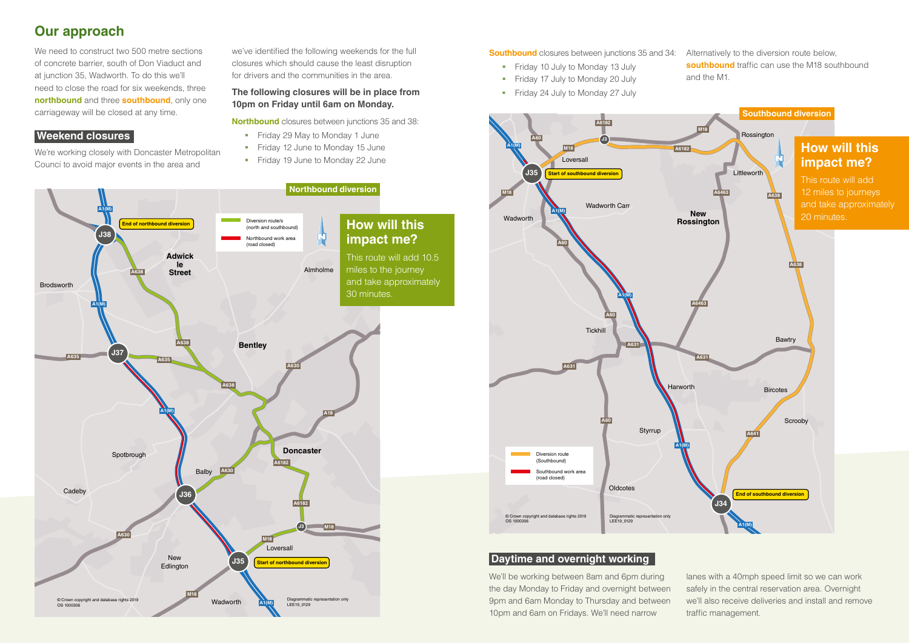## **Our approach**

We need to construct two 500 metre sections of concrete barrier, south of Don Viaduct and at junction 35, Wadworth. To do this we'll need to close the road for six weekends, three **northbound** and three **southbound**, only one carriageway will be closed at any time.

#### **Weekend closures**

We're working closely with Doncaster Metropolitan Counci to avoid major events in the area and

we've identified the following weekends for the full closures which should cause the least disruption for drivers and the communities in the area.

#### **The following closures will be in place from 10pm on Friday until 6am on Monday.**

**Northbound** closures between junctions 35 and 38:

- Friday 29 May to Monday 1 June
- Friday 12 June to Monday 15 June
- **Fiday 19 June to Monday 22 June**

**Southbound** closures between junctions 35 and 34:

- Friday 10 July to Monday 13 July
- Friday 17 July to Monday 20 July
- Friday 24 July to Monday 27 July

Alternatively to the diversion route below, **southbound** traffic can use the M18 southbound and the M1.





#### **Daytime and overnight working**

We'll be working between 8am and 6pm during the day Monday to Friday and overnight between 9pm and 6am Monday to Thursday and between 10pm and 6am on Fridays. We'll need narrow lanes with a 40mph speed limit so we can work safely in the central reservation area. Overnight we'll also receive deliveries and install and remove traffic management.